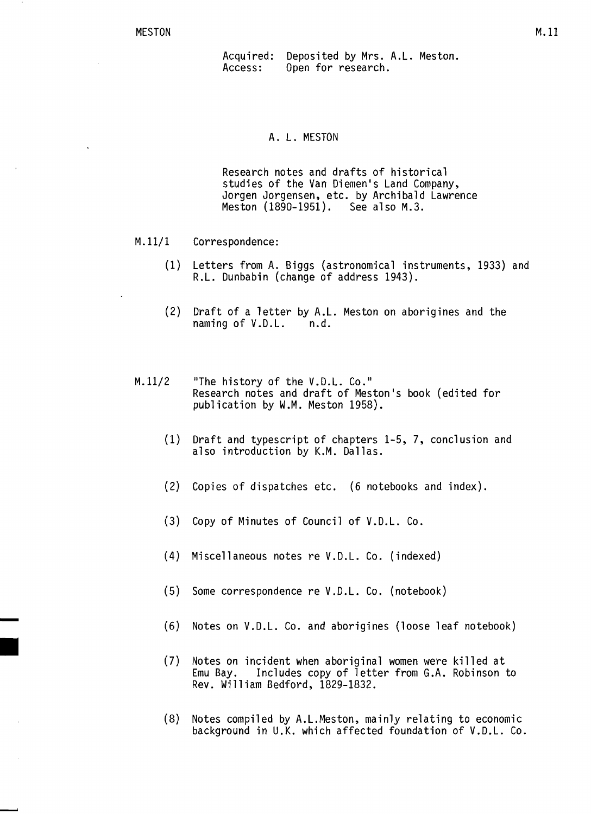Acquired:<br>Access: Acquired: Deposited by Mrs. A.L. Meston.<br>Access: Open for research. Open for research.

## A. L. MESTON

Research notes and drafts of historical studies of the Van Diemen's Land Company, Jorgen Jorgensen, etc. by Archibald Lawrence Meston (1890-1951). See also M.3.

- M.ll/l Correspondence:
	- (1) Letters from A. Biggs (astronomical instruments, 1933) and R.L. Dunbabin (change of address 1943).
	- (2) Draft of a letter by A.L. Meston on aborigines and the naming of V.D.L. n.d.
- $M.11/2$  "The history of the V.D.L. Co." Research notes and draft of Meston's book (edited for publication by W.M. Meston 1958).
	- (1) Draft and typescript of chapters 1-5, 7, conclusion and also introduction by K.M. Dallas.
	- (2) Copies of dispatches etc. (6 notebooks and index).
	- (3) Copy of Minutes of Council of V.D.L. Co.
	- (4) Miscellaneous notes re V.D.L. Co. (indexed)
	- (5) Some correspondence re V.D.L. Co. (notebook)
	- (6) Notes on V.D.L. Co. and aborigines (loose leaf notebook)
	- (7) Notes on incident when aboriginal women were killed at Includes copy of letter from G.A. Robinson to Rev. Wi11iam Bedford, 1829-1832.
	- (8) Notes compi1ed by A.L.Meston, mainly relating to economic background in U.K. which affected foundation of V.D.L. Co.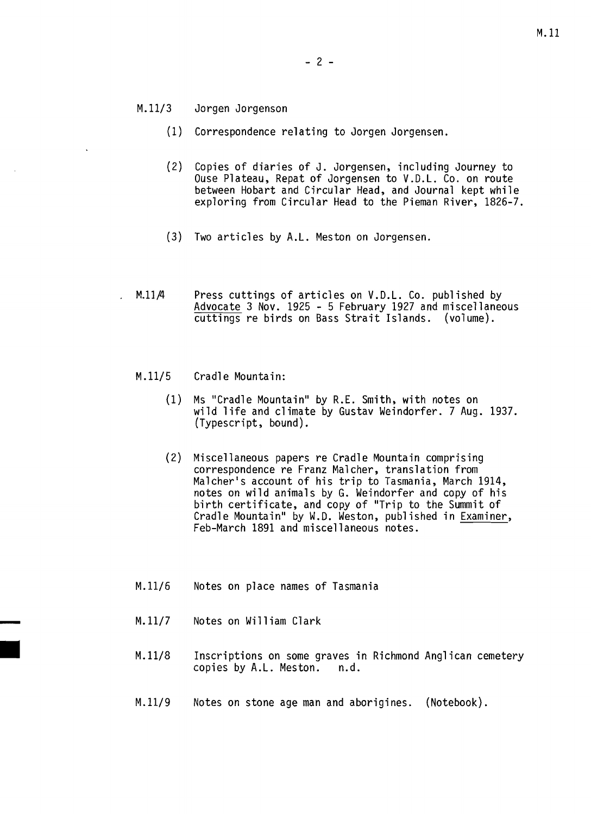- *M.11/3* Jorgen Jorgenson
	- (1) Correspondence relating to Jorgen Jorgensen.
	- (2) Copies of diaries of J. Jorgensen, including Journey to Ouse Plateau, Repat of Jorgensen to V.D.L. Co. on route between Hobart and Circular Head, and Journal kept while exploring from Circular Head to the Pieman River, 1826-7.
	- (3) Two articles by A.L. Meston on Jorgensen.
- M.1l/4 Press cuttings of articles on V.D.L. Co. published by Advocate 3 Nov. 1925 5 February 1927 and miscellaneous cuttings re birds on Bass Strait Islands. (volume).

## *M.11/5* Cradle Mountain:

- (1) Ms "Cradle Mountain" by R.E. Smith, with notes on wild life and climate by Gustav Weindorfer. 7 Aug. 1937. (Typescript, bound).
- (2) Miscellaneous papers re Cradle Mountain comprising correspondence re Franz Malcher, translation from Malcher's account of his trip to Tasmania, March 1914, notes on wild animals by G. Weindorfer and copy of his birth certificate, and copy of "Trip to the Summit of Cradle Mountain" by W.D. Weston, published in Examiner, Feb-March 1891 and miscellaneous notes.
- *M.11/6* Notes on place names of Tasmania
- M.11/7 Notes on William Clark
- M.11/8 Inscriptions on some graves in Richmond Anglican cemetery<br>copies by A.L. Meston. n.d. copies by  $A.L.$  Meston.
- M.11/9 Notes on stone age man and aborigines. (Notebook).